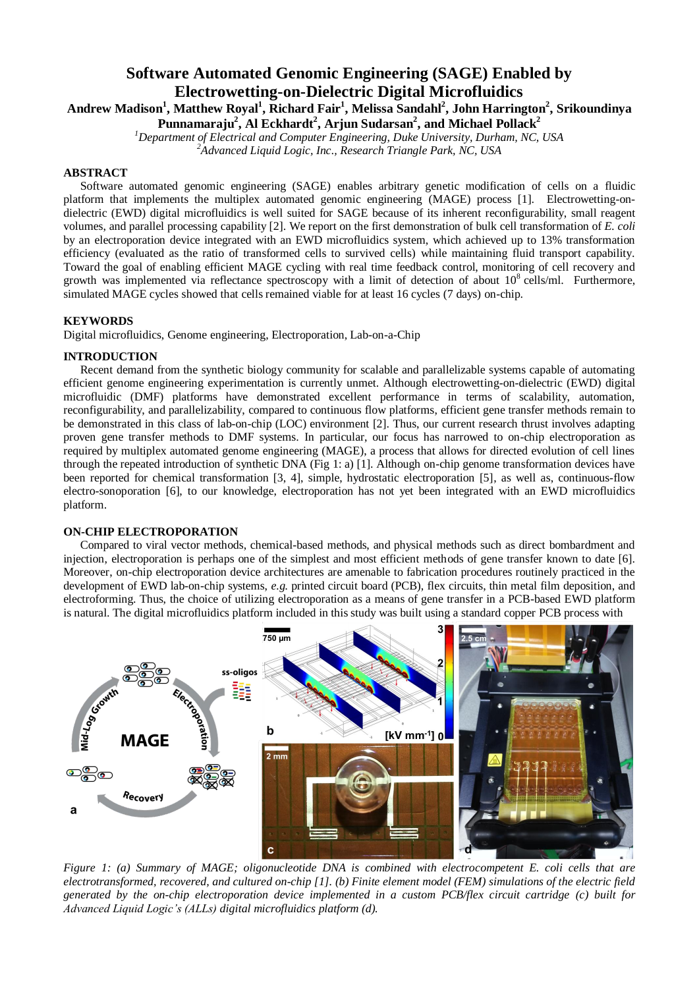# **Software Automated Genomic Engineering (SAGE) Enabled by Electrowetting-on-Dielectric Digital Microfluidics**

**Andrew Madison<sup>1</sup> , Matthew Royal<sup>1</sup> , Richard Fair<sup>1</sup> , Melissa Sandahl<sup>2</sup> , John Harrington<sup>2</sup> , Srikoundinya Punnamaraju<sup>2</sup> , Al Eckhardt<sup>2</sup> , Arjun Sudarsan<sup>2</sup> , and Michael Pollack<sup>2</sup>**

*<sup>1</sup>Department of Electrical and Computer Engineering, Duke University, Durham, NC, USA*

*<sup>2</sup>Advanced Liquid Logic, Inc., Research Triangle Park, NC, USA*

## **ABSTRACT**

Software automated genomic engineering (SAGE) enables arbitrary genetic modification of cells on a fluidic platform that implements the multiplex automated genomic engineering (MAGE) process [1]. Electrowetting-ondielectric (EWD) digital microfluidics is well suited for SAGE because of its inherent reconfigurability, small reagent volumes, and parallel processing capability [2]. We report on the first demonstration of bulk cell transformation of *E. coli*  by an electroporation device integrated with an EWD microfluidics system, which achieved up to 13% transformation efficiency (evaluated as the ratio of transformed cells to survived cells) while maintaining fluid transport capability. Toward the goal of enabling efficient MAGE cycling with real time feedback control, monitoring of cell recovery and growth was implemented via reflectance spectroscopy with a limit of detection of about  $10^8$  cells/ml. Furthermore, simulated MAGE cycles showed that cells remained viable for at least 16 cycles (7 days) on-chip.

## **KEYWORDS**

Digital microfluidics, Genome engineering, Electroporation, Lab-on-a-Chip

## **INTRODUCTION**

Recent demand from the synthetic biology community for scalable and parallelizable systems capable of automating efficient genome engineering experimentation is currently unmet. Although electrowetting-on-dielectric (EWD) digital microfluidic (DMF) platforms have demonstrated excellent performance in terms of scalability, automation, reconfigurability, and parallelizability, compared to continuous flow platforms, efficient gene transfer methods remain to be demonstrated in this class of lab-on-chip (LOC) environment [2]. Thus, our current research thrust involves adapting proven gene transfer methods to DMF systems. In particular, our focus has narrowed to on-chip electroporation as required by multiplex automated genome engineering (MAGE), a process that allows for directed evolution of cell lines through the repeated introduction of synthetic DNA (Fig 1: a) [1]. Although on-chip genome transformation devices have been reported for chemical transformation [3, 4], simple, hydrostatic electroporation [5], as well as, continuous-flow electro-sonoporation [6], to our knowledge, electroporation has not yet been integrated with an EWD microfluidics platform.

## **ON-CHIP ELECTROPORATION**

Compared to viral vector methods, chemical-based methods, and physical methods such as direct bombardment and injection, electroporation is perhaps one of the simplest and most efficient methods of gene transfer known to date [6]. Moreover, on-chip electroporation device architectures are amenable to fabrication procedures routinely practiced in the development of EWD lab-on-chip systems, *e.g.* printed circuit board (PCB), flex circuits, thin metal film deposition, and electroforming. Thus, the choice of utilizing electroporation as a means of gene transfer in a PCB-based EWD platform is natural. The digital microfluidics platform included in this study was built using a standard copper PCB process with



*Figure 1: (a) Summary of MAGE; oligonucleotide DNA is combined with electrocompetent E. coli cells that are electrotransformed, recovered, and cultured on-chip [1]. (b) Finite element model (FEM) simulations of the electric field generated by the on-chip electroporation device implemented in a custom PCB/flex circuit cartridge (c) built for Advanced Liquid Logic's (ALLs) digital microfluidics platform (d).*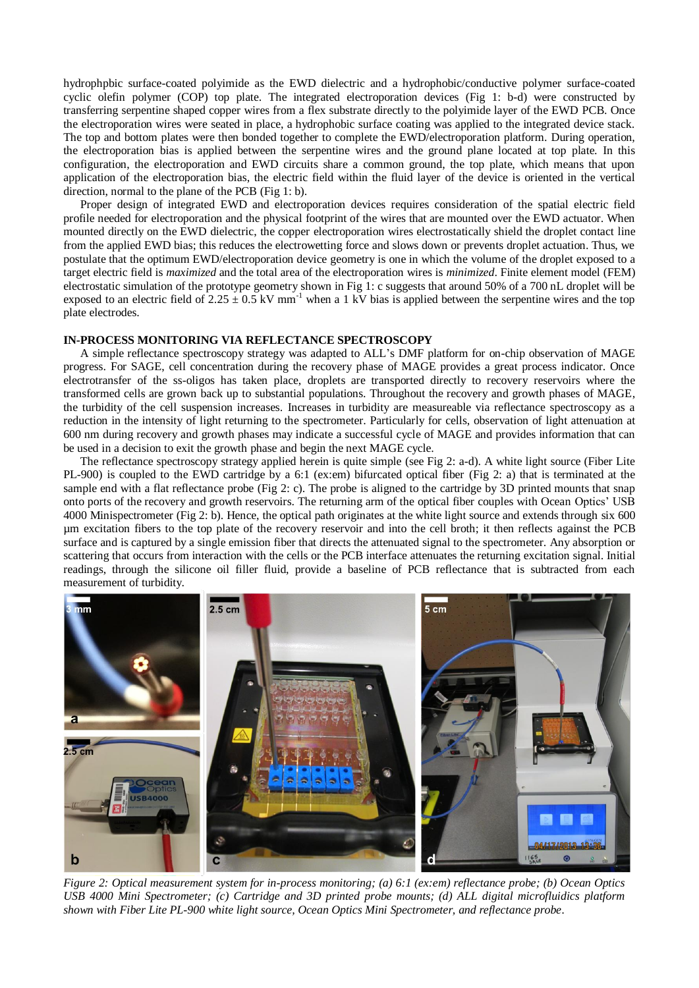hydrophpbic surface-coated polyimide as the EWD dielectric and a hydrophobic/conductive polymer surface-coated cyclic olefin polymer (COP) top plate. The integrated electroporation devices (Fig 1: b-d) were constructed by transferring serpentine shaped copper wires from a flex substrate directly to the polyimide layer of the EWD PCB. Once the electroporation wires were seated in place, a hydrophobic surface coating was applied to the integrated device stack. The top and bottom plates were then bonded together to complete the EWD/electroporation platform. During operation, the electroporation bias is applied between the serpentine wires and the ground plane located at top plate. In this configuration, the electroporation and EWD circuits share a common ground, the top plate, which means that upon application of the electroporation bias, the electric field within the fluid layer of the device is oriented in the vertical direction, normal to the plane of the PCB (Fig 1: b).

Proper design of integrated EWD and electroporation devices requires consideration of the spatial electric field profile needed for electroporation and the physical footprint of the wires that are mounted over the EWD actuator. When mounted directly on the EWD dielectric, the copper electroporation wires electrostatically shield the droplet contact line from the applied EWD bias; this reduces the electrowetting force and slows down or prevents droplet actuation. Thus, we postulate that the optimum EWD/electroporation device geometry is one in which the volume of the droplet exposed to a target electric field is *maximized* and the total area of the electroporation wires is *minimized*. Finite element model (FEM) electrostatic simulation of the prototype geometry shown in Fig 1: c suggests that around 50% of a 700 nL droplet will be exposed to an electric field of  $2.25 \pm 0.5 \text{ kV} \text{ mm}^{-1}$  when a 1 kV bias is applied between the serpentine wires and the top plate electrodes.

#### **IN-PROCESS MONITORING VIA REFLECTANCE SPECTROSCOPY**

A simple reflectance spectroscopy strategy was adapted to ALL's DMF platform for on-chip observation of MAGE progress. For SAGE, cell concentration during the recovery phase of MAGE provides a great process indicator. Once electrotransfer of the ss-oligos has taken place, droplets are transported directly to recovery reservoirs where the transformed cells are grown back up to substantial populations. Throughout the recovery and growth phases of MAGE, the turbidity of the cell suspension increases. Increases in turbidity are measureable via reflectance spectroscopy as a reduction in the intensity of light returning to the spectrometer. Particularly for cells, observation of light attenuation at 600 nm during recovery and growth phases may indicate a successful cycle of MAGE and provides information that can be used in a decision to exit the growth phase and begin the next MAGE cycle.

The reflectance spectroscopy strategy applied herein is quite simple (see Fig 2: a-d). A white light source (Fiber Lite PL-900) is coupled to the EWD cartridge by a 6:1 (ex:em) bifurcated optical fiber (Fig 2: a) that is terminated at the sample end with a flat reflectance probe (Fig 2: c). The probe is aligned to the cartridge by 3D printed mounts that snap onto ports of the recovery and growth reservoirs. The returning arm of the optical fiber couples with Ocean Optics' USB 4000 Minispectrometer (Fig 2: b). Hence, the optical path originates at the white light source and extends through six 600 µm excitation fibers to the top plate of the recovery reservoir and into the cell broth; it then reflects against the PCB surface and is captured by a single emission fiber that directs the attenuated signal to the spectrometer. Any absorption or scattering that occurs from interaction with the cells or the PCB interface attenuates the returning excitation signal. Initial readings, through the silicone oil filler fluid, provide a baseline of PCB reflectance that is subtracted from each measurement of turbidity.



*Figure 2: Optical measurement system for in-process monitoring; (a) 6:1 (ex:em) reflectance probe; (b) Ocean Optics USB 4000 Mini Spectrometer; (c) Cartridge and 3D printed probe mounts; (d) ALL digital microfluidics platform shown with Fiber Lite PL-900 white light source, Ocean Optics Mini Spectrometer, and reflectance probe.*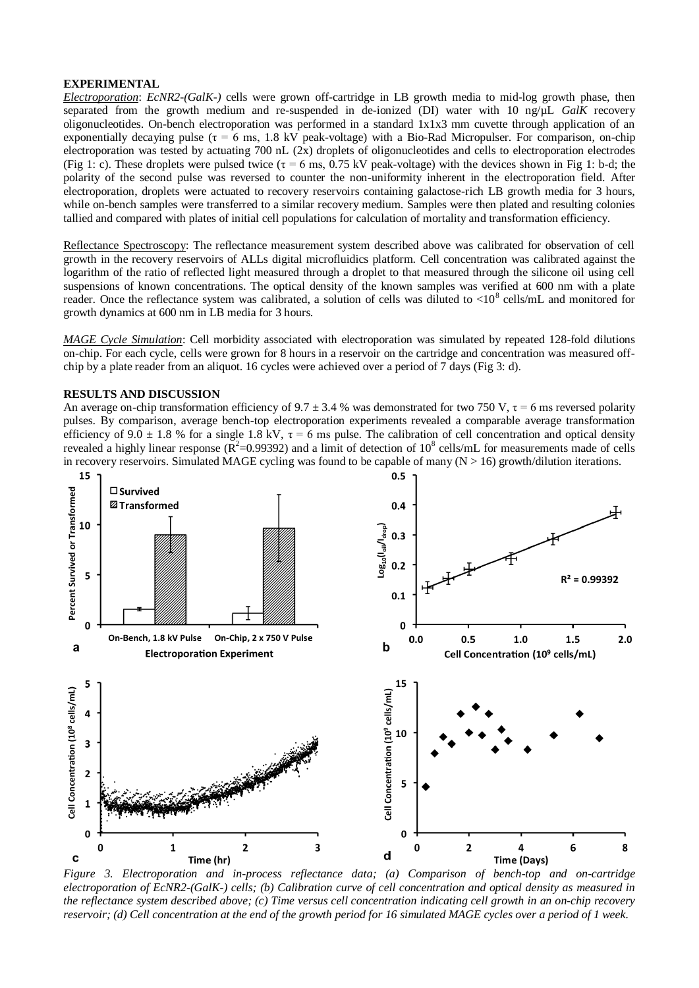## **EXPERIMENTAL**

*Electroporation*: *EcNR2-(GalK-)* cells were grown off-cartridge in LB growth media to mid-log growth phase, then separated from the growth medium and re-suspended in de-ionized (DI) water with 10 ng/µL *GalK* recovery oligonucleotides. On-bench electroporation was performed in a standard 1x1x3 mm cuvette through application of an exponentially decaying pulse ( $\tau = 6$  ms, 1.8 kV peak-voltage) with a Bio-Rad Micropulser. For comparison, on-chip electroporation was tested by actuating 700 nL (2x) droplets of oligonucleotides and cells to electroporation electrodes (Fig 1: c). These droplets were pulsed twice ( $\tau = 6$  ms, 0.75 kV peak-voltage) with the devices shown in Fig 1: b-d; the polarity of the second pulse was reversed to counter the non-uniformity inherent in the electroporation field. After electroporation, droplets were actuated to recovery reservoirs containing galactose-rich LB growth media for 3 hours, while on-bench samples were transferred to a similar recovery medium. Samples were then plated and resulting colonies tallied and compared with plates of initial cell populations for calculation of mortality and transformation efficiency.

Reflectance Spectroscopy: The reflectance measurement system described above was calibrated for observation of cell growth in the recovery reservoirs of ALLs digital microfluidics platform. Cell concentration was calibrated against the logarithm of the ratio of reflected light measured through a droplet to that measured through the silicone oil using cell suspensions of known concentrations. The optical density of the known samples was verified at 600 nm with a plate reader. Once the reflectance system was calibrated, a solution of cells was diluted to  $< 10^8$  cells/mL and monitored for growth dynamics at 600 nm in LB media for 3 hours.

*MAGE Cycle Simulation*: Cell morbidity associated with electroporation was simulated by repeated 128-fold dilutions on-chip. For each cycle, cells were grown for 8 hours in a reservoir on the cartridge and concentration was measured offchip by a plate reader from an aliquot. 16 cycles were achieved over a period of 7 days (Fig 3: d).

## **RESULTS AND DISCUSSION**

An average on-chip transformation efficiency of  $9.7 \pm 3.4$  % was demonstrated for two 750 V,  $\tau = 6$  ms reversed polarity pulses. By comparison, average bench-top electroporation experiments revealed a comparable average transformation efficiency of 9.0  $\pm$  1.8 % for a single 1.8 kV,  $\tau$  = 6 ms pulse. The calibration of cell concentration and optical density revealed a highly linear response ( $\mathbb{R}^2$ =0.99392) and a limit of detection of 10<sup>8</sup> cells/mL for measurements made of cells in recovery reservoirs. Simulated MAGE cycling was found to be capable of many  $(N > 16)$  growth/dilution iterations.



*Figure 3. Electroporation and in-process reflectance data; (a) Comparison of bench-top and on-cartridge electroporation of EcNR2-(GalK-) cells; (b) Calibration curve of cell concentration and optical density as measured in the reflectance system described above; (c) Time versus cell concentration indicating cell growth in an on-chip recovery reservoir; (d) Cell concentration at the end of the growth period for 16 simulated MAGE cycles over a period of 1 week.*